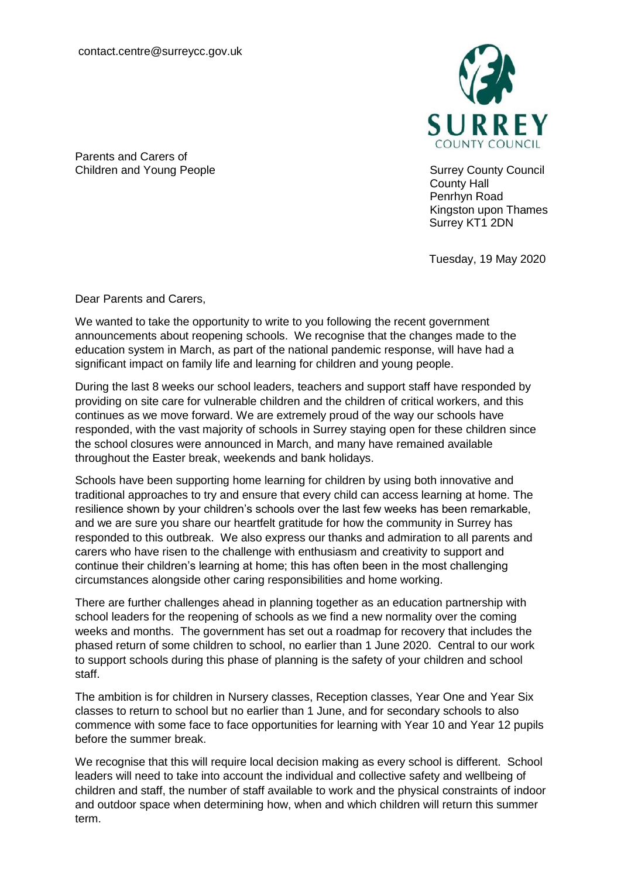

County Hall Penrhyn Road Kingston upon Thames Surrey KT1 2DN

Tuesday, 19 May 2020

Parents and Carers of Children and Young People **Surrey County Council** Surrey County Council

Dear Parents and Carers,

We wanted to take the opportunity to write to you following the recent government announcements about reopening schools. We recognise that the changes made to the education system in March, as part of the national pandemic response, will have had a significant impact on family life and learning for children and young people.

During the last 8 weeks our school leaders, teachers and support staff have responded by providing on site care for vulnerable children and the children of critical workers, and this continues as we move forward. We are extremely proud of the way our schools have responded, with the vast majority of schools in Surrey staying open for these children since the school closures were announced in March, and many have remained available throughout the Easter break, weekends and bank holidays.

Schools have been supporting home learning for children by using both innovative and traditional approaches to try and ensure that every child can access learning at home. The resilience shown by your children's schools over the last few weeks has been remarkable, and we are sure you share our heartfelt gratitude for how the community in Surrey has responded to this outbreak. We also express our thanks and admiration to all parents and carers who have risen to the challenge with enthusiasm and creativity to support and continue their children's learning at home; this has often been in the most challenging circumstances alongside other caring responsibilities and home working.

There are further challenges ahead in planning together as an education partnership with school leaders for the reopening of schools as we find a new normality over the coming weeks and months. The government has set out a roadmap for recovery that includes the phased return of some children to school, no earlier than 1 June 2020. Central to our work to support schools during this phase of planning is the safety of your children and school staff.

The ambition is for children in Nursery classes, Reception classes, Year One and Year Six classes to return to school but no earlier than 1 June, and for secondary schools to also commence with some face to face opportunities for learning with Year 10 and Year 12 pupils before the summer break.

We recognise that this will require local decision making as every school is different. School leaders will need to take into account the individual and collective safety and wellbeing of children and staff, the number of staff available to work and the physical constraints of indoor and outdoor space when determining how, when and which children will return this summer term.